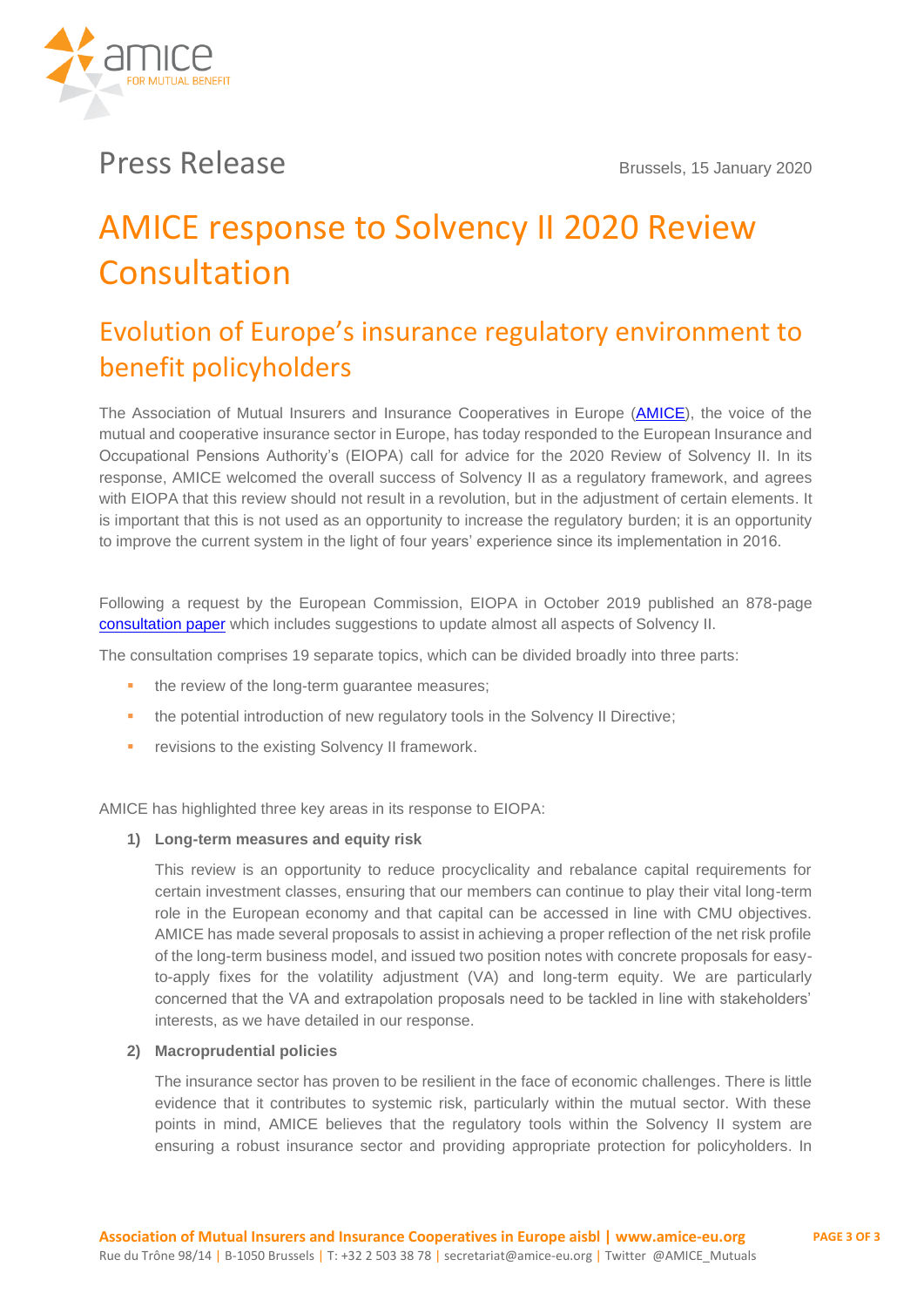

## **Press Release** Brussels, 15 January 2020

# AMICE response to Solvency II 2020 Review Consultation

### Evolution of Europe's insurance regulatory environment to benefit policyholders

The Association of Mutual Insurers and Insurance Cooperatives in Europe [\(AMICE\)](https://www.amice-eu.org/), the voice of the mutual and cooperative insurance sector in Europe, has today responded to the European Insurance and Occupational Pensions Authority's (EIOPA) call for advice for the 2020 Review of Solvency II. In its response, AMICE welcomed the overall success of Solvency II as a regulatory framework, and agrees with EIOPA that this review should not result in a revolution, but in the adjustment of certain elements. It is important that this is not used as an opportunity to increase the regulatory burden; it is an opportunity to improve the current system in the light of four years' experience since its implementation in 2016.

Following a request by the European Commission, EIOPA in October 2019 published an 878-page [consultation paper](https://eiopa.europa.eu/Pages/Consultation-Paper-on-the-Opinion-on-the-2020-review-of-Solvency-II.aspx) which includes suggestions to update almost all aspects of Solvency II.

The consultation comprises 19 separate topics, which can be divided broadly into three parts:

- the review of the long-term guarantee measures;
- **•** the potential introduction of new regulatory tools in the Solvency II Directive;
- **EXECUTE:** revisions to the existing Solvency II framework.

AMICE has highlighted three key areas in its response to EIOPA:

#### **1) Long-term measures and equity risk**

This review is an opportunity to reduce procyclicality and rebalance capital requirements for certain investment classes, ensuring that our members can continue to play their vital long-term role in the European economy and that capital can be accessed in line with CMU objectives. AMICE has made several proposals to assist in achieving a proper reflection of the net risk profile of the long-term business model, and issued two position notes with concrete proposals for easyto-apply fixes for the volatility adjustment (VA) and long-term equity. We are particularly concerned that the VA and extrapolation proposals need to be tackled in line with stakeholders' interests, as we have detailed in our response.

#### **2) Macroprudential policies**

The insurance sector has proven to be resilient in the face of economic challenges. There is little evidence that it contributes to systemic risk, particularly within the mutual sector. With these points in mind, AMICE believes that the regulatory tools within the Solvency II system are ensuring a robust insurance sector and providing appropriate protection for policyholders. In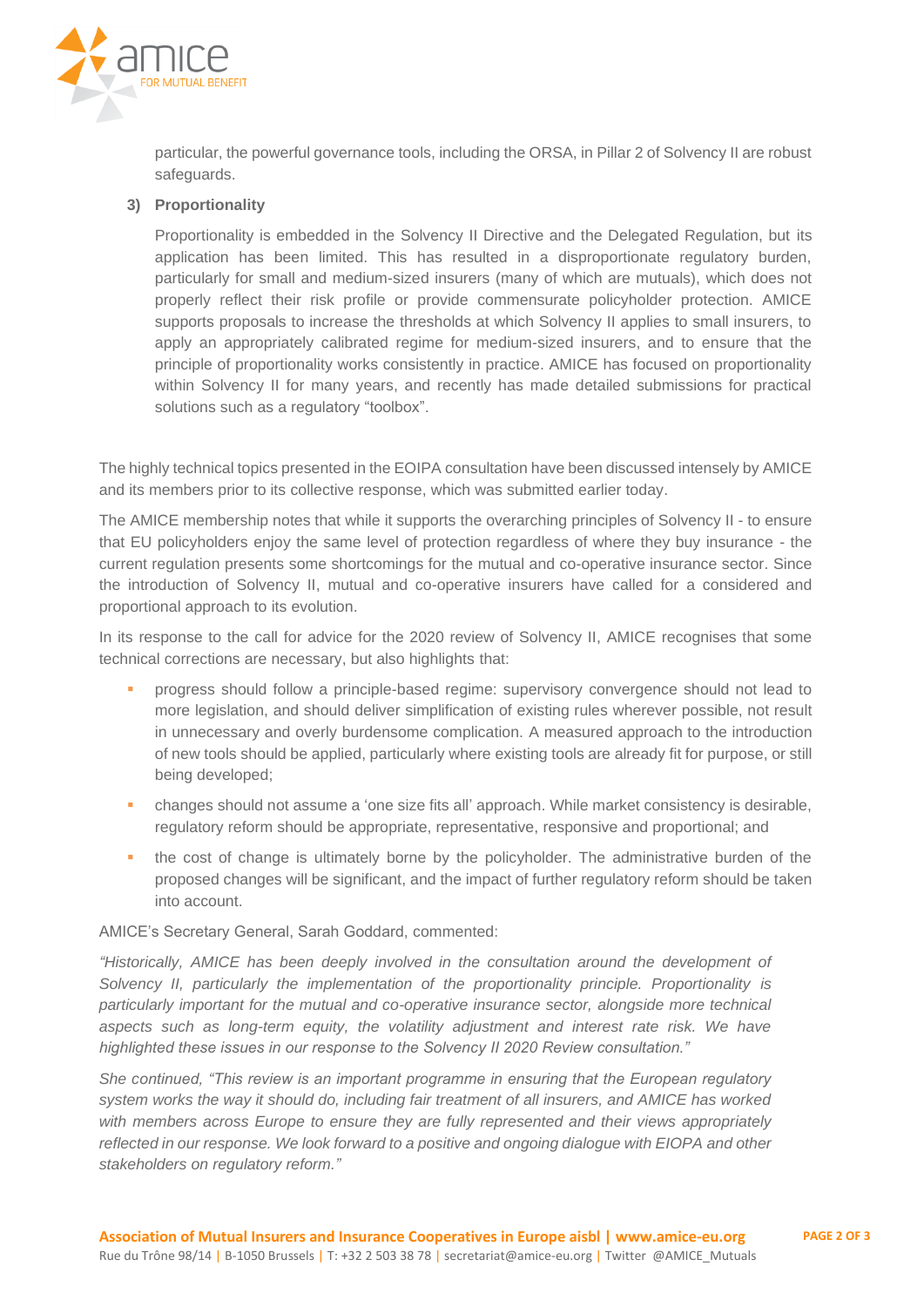

particular, the powerful governance tools, including the ORSA, in Pillar 2 of Solvency II are robust safeguards.

#### **3) Proportionality**

Proportionality is embedded in the Solvency II Directive and the Delegated Regulation, but its application has been limited. This has resulted in a disproportionate regulatory burden, particularly for small and medium-sized insurers (many of which are mutuals), which does not properly reflect their risk profile or provide commensurate policyholder protection. AMICE supports proposals to increase the thresholds at which Solvency II applies to small insurers, to apply an appropriately calibrated regime for medium-sized insurers, and to ensure that the principle of proportionality works consistently in practice. AMICE has focused on proportionality within Solvency II for many years, and recently has made detailed submissions for practical solutions such as a regulatory "toolbox".

The highly technical topics presented in the EOIPA consultation have been discussed intensely by AMICE and its members prior to its collective response, which was submitted earlier today.

The AMICE membership notes that while it supports the overarching principles of Solvency II - to ensure that EU policyholders enjoy the same level of protection regardless of where they buy insurance - the current regulation presents some shortcomings for the mutual and co-operative insurance sector. Since the introduction of Solvency II, mutual and co-operative insurers have called for a considered and proportional approach to its evolution.

In its response to the call for advice for the 2020 review of Solvency II, AMICE recognises that some technical corrections are necessary, but also highlights that:

- progress should follow a principle-based regime: supervisory convergence should not lead to more legislation, and should deliver simplification of existing rules wherever possible, not result in unnecessary and overly burdensome complication. A measured approach to the introduction of new tools should be applied, particularly where existing tools are already fit for purpose, or still being developed;
- changes should not assume a 'one size fits all' approach. While market consistency is desirable, regulatory reform should be appropriate, representative, responsive and proportional; and
- the cost of change is ultimately borne by the policyholder. The administrative burden of the proposed changes will be significant, and the impact of further regulatory reform should be taken into account.

#### AMICE's Secretary General, Sarah Goddard, commented:

*"Historically, AMICE has been deeply involved in the consultation around the development of Solvency II, particularly the implementation of the proportionality principle. Proportionality is particularly important for the mutual and co-operative insurance sector, alongside more technical aspects such as long-term equity, the volatility adjustment and interest rate risk. We have highlighted these issues in our response to the Solvency II 2020 Review consultation."*

*She continued, "This review is an important programme in ensuring that the European regulatory system works the way it should do, including fair treatment of all insurers, and AMICE has worked with members across Europe to ensure they are fully represented and their views appropriately reflected in our response. We look forward to a positive and ongoing dialogue with EIOPA and other stakeholders on regulatory reform."*